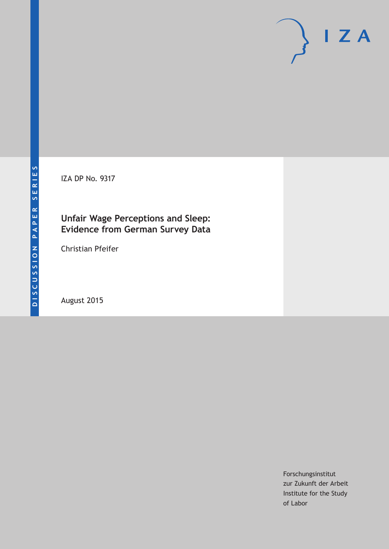IZA DP No. 9317

## **Unfair Wage Perceptions and Sleep: Evidence from German Survey Data**

Christian Pfeifer

August 2015

Forschungsinstitut zur Zukunft der Arbeit Institute for the Study of Labor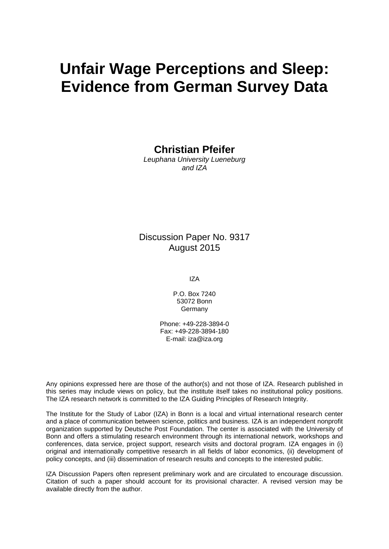# **Unfair Wage Perceptions and Sleep: Evidence from German Survey Data**

**Christian Pfeifer** 

*Leuphana University Lueneburg and IZA* 

### Discussion Paper No. 9317 August 2015

IZA

P.O. Box 7240 53072 Bonn Germany

Phone: +49-228-3894-0 Fax: +49-228-3894-180 E-mail: iza@iza.org

Any opinions expressed here are those of the author(s) and not those of IZA. Research published in this series may include views on policy, but the institute itself takes no institutional policy positions. The IZA research network is committed to the IZA Guiding Principles of Research Integrity.

The Institute for the Study of Labor (IZA) in Bonn is a local and virtual international research center and a place of communication between science, politics and business. IZA is an independent nonprofit organization supported by Deutsche Post Foundation. The center is associated with the University of Bonn and offers a stimulating research environment through its international network, workshops and conferences, data service, project support, research visits and doctoral program. IZA engages in (i) original and internationally competitive research in all fields of labor economics, (ii) development of policy concepts, and (iii) dissemination of research results and concepts to the interested public.

IZA Discussion Papers often represent preliminary work and are circulated to encourage discussion. Citation of such a paper should account for its provisional character. A revised version may be available directly from the author.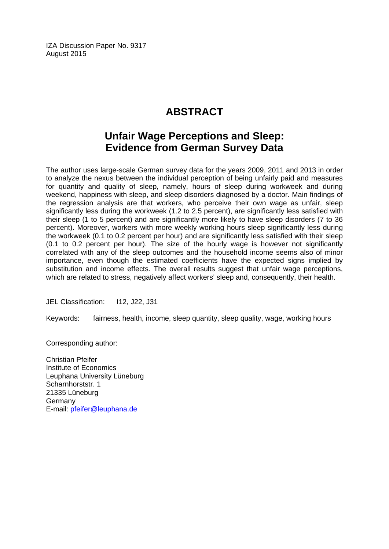IZA Discussion Paper No. 9317 August 2015

# **ABSTRACT**

# **Unfair Wage Perceptions and Sleep: Evidence from German Survey Data**

The author uses large-scale German survey data for the years 2009, 2011 and 2013 in order to analyze the nexus between the individual perception of being unfairly paid and measures for quantity and quality of sleep, namely, hours of sleep during workweek and during weekend, happiness with sleep, and sleep disorders diagnosed by a doctor. Main findings of the regression analysis are that workers, who perceive their own wage as unfair, sleep significantly less during the workweek (1.2 to 2.5 percent), are significantly less satisfied with their sleep (1 to 5 percent) and are significantly more likely to have sleep disorders (7 to 36 percent). Moreover, workers with more weekly working hours sleep significantly less during the workweek (0.1 to 0.2 percent per hour) and are significantly less satisfied with their sleep (0.1 to 0.2 percent per hour). The size of the hourly wage is however not significantly correlated with any of the sleep outcomes and the household income seems also of minor importance, even though the estimated coefficients have the expected signs implied by substitution and income effects. The overall results suggest that unfair wage perceptions, which are related to stress, negatively affect workers' sleep and, consequently, their health.

JEL Classification: I12, J22, J31

Keywords: fairness, health, income, sleep quantity, sleep quality, wage, working hours

Corresponding author:

Christian Pfeifer Institute of Economics Leuphana University Lüneburg Scharnhorststr. 1 21335 Lüneburg Germany E-mail: pfeifer@leuphana.de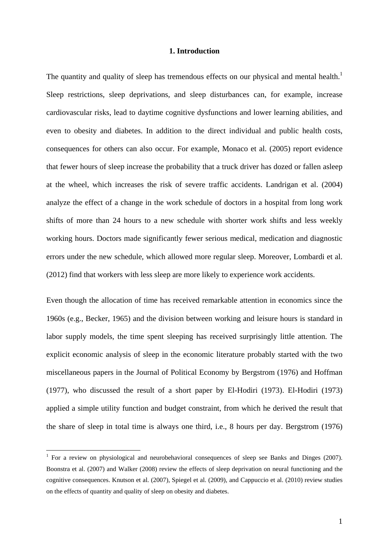#### **1. Introduction**

The quantity and quality of sleep has tremendous effects on our physical and mental health.<sup>1</sup> Sleep restrictions, sleep deprivations, and sleep disturbances can, for example, increase cardiovascular risks, lead to daytime cognitive dysfunctions and lower learning abilities, and even to obesity and diabetes. In addition to the direct individual and public health costs, consequences for others can also occur. For example, Monaco et al. (2005) report evidence that fewer hours of sleep increase the probability that a truck driver has dozed or fallen asleep at the wheel, which increases the risk of severe traffic accidents. Landrigan et al. (2004) analyze the effect of a change in the work schedule of doctors in a hospital from long work shifts of more than 24 hours to a new schedule with shorter work shifts and less weekly working hours. Doctors made significantly fewer serious medical, medication and diagnostic errors under the new schedule, which allowed more regular sleep. Moreover, Lombardi et al. (2012) find that workers with less sleep are more likely to experience work accidents.

Even though the allocation of time has received remarkable attention in economics since the 1960s (e.g., Becker, 1965) and the division between working and leisure hours is standard in labor supply models, the time spent sleeping has received surprisingly little attention. The explicit economic analysis of sleep in the economic literature probably started with the two miscellaneous papers in the Journal of Political Economy by Bergstrom (1976) and Hoffman (1977), who discussed the result of a short paper by El-Hodiri (1973). El-Hodiri (1973) applied a simple utility function and budget constraint, from which he derived the result that the share of sleep in total time is always one third, i.e., 8 hours per day. Bergstrom (1976)

<sup>&</sup>lt;sup>1</sup> For a review on physiological and neurobehavioral consequences of sleep see Banks and Dinges (2007). Boonstra et al. (2007) and Walker (2008) review the effects of sleep deprivation on neural functioning and the cognitive consequences. Knutson et al. (2007), Spiegel et al. (2009), and Cappuccio et al. (2010) review studies on the effects of quantity and quality of sleep on obesity and diabetes.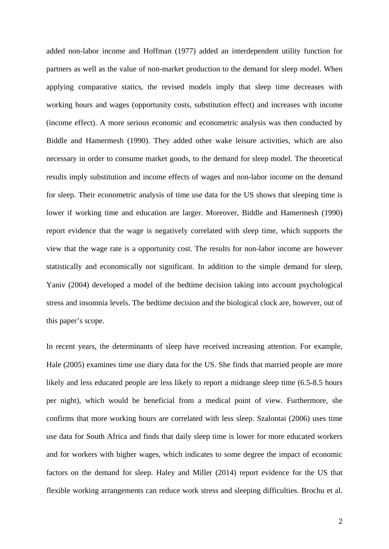added non-labor income and Hoffman (1977) added an interdependent utility function for partners as well as the value of non-market production to the demand for sleep model. When applying comparative statics, the revised models imply that sleep time decreases with working hours and wages (opportunity costs, substitution effect) and increases with income (income effect). A more serious economic and econometric analysis was then conducted by Biddle and Hamermesh (1990). They added other wake leisure activities, which are also necessary in order to consume market goods, to the demand for sleep model. The theoretical results imply substitution and income effects of wages and non-labor income on the demand for sleep. Their econometric analysis of time use data for the US shows that sleeping time is lower if working time and education are larger. Moreover, Biddle and Hamermesh (1990) report evidence that the wage is negatively correlated with sleep time, which supports the view that the wage rate is a opportunity cost. The results for non-labor income are however statistically and economically not significant. In addition to the simple demand for sleep, Yaniv (2004) developed a model of the bedtime decision taking into account psychological stress and insomnia levels. The bedtime decision and the biological clock are, however, out of this paper's scope.

In recent years, the determinants of sleep have received increasing attention. For example, Hale (2005) examines time use diary data for the US. She finds that married people are more likely and less educated people are less likely to report a midrange sleep time  $(6.5-8.5)$  hours per night), which would be beneficial from a medical point of view. Furthermore, she confirms that more working hours are correlated with less sleep. Szalontai (2006) uses time use data for South Africa and finds that daily sleep time is lower for more educated workers and for workers with higher wages, which indicates to some degree the impact of economic factors on the demand for sleep. Haley and Miller (2014) report evidence for the US that flexible working arrangements can reduce work stress and sleeping difficulties. Brochu et al.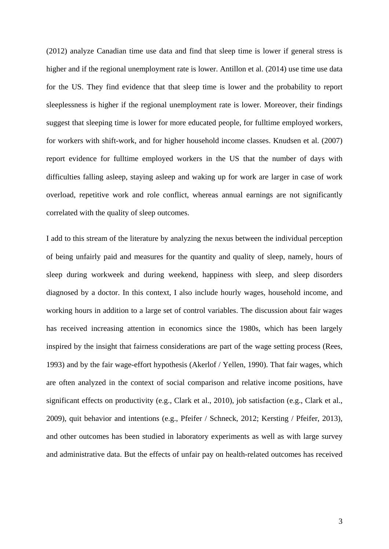(2012) analyze Canadian time use data and find that sleep time is lower if general stress is higher and if the regional unemployment rate is lower. Antillon et al. (2014) use time use data for the US. They find evidence that that sleep time is lower and the probability to report sleeplessness is higher if the regional unemployment rate is lower. Moreover, their findings suggest that sleeping time is lower for more educated people, for fulltime employed workers, for workers with shift-work, and for higher household income classes. Knudsen et al. (2007) report evidence for fulltime employed workers in the US that the number of days with difficulties falling asleep, staying asleep and waking up for work are larger in case of work overload, repetitive work and role conflict, whereas annual earnings are not significantly correlated with the quality of sleep outcomes.

I add to this stream of the literature by analyzing the nexus between the individual perception of being unfairly paid and measures for the quantity and quality of sleep, namely, hours of sleep during workweek and during weekend, happiness with sleep, and sleep disorders diagnosed by a doctor. In this context, I also include hourly wages, household income, and working hours in addition to a large set of control variables. The discussion about fair wages has received increasing attention in economics since the 1980s, which has been largely inspired by the insight that fairness considerations are part of the wage setting process (Rees, 1993) and by the fair wage-effort hypothesis (Akerlof / Yellen, 1990). That fair wages, which are often analyzed in the context of social comparison and relative income positions, have significant effects on productivity (e.g., Clark et al., 2010), job satisfaction (e.g., Clark et al., 2009), quit behavior and intentions (e.g., Pfeifer / Schneck, 2012; Kersting / Pfeifer, 2013), and other outcomes has been studied in laboratory experiments as well as with large survey and administrative data. But the effects of unfair pay on health-related outcomes has received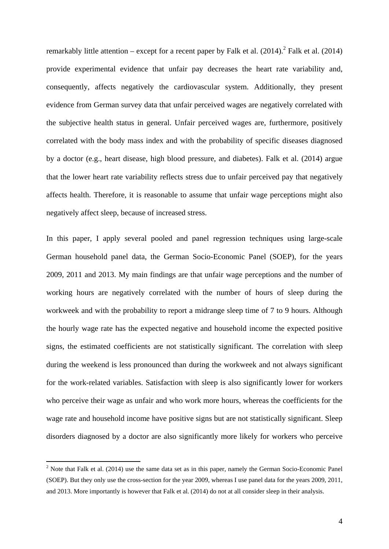remarkably little attention – except for a recent paper by Falk et al.  $(2014)$ .<sup>2</sup> Falk et al.  $(2014)$ provide experimental evidence that unfair pay decreases the heart rate variability and, consequently, affects negatively the cardiovascular system. Additionally, they present evidence from German survey data that unfair perceived wages are negatively correlated with the subjective health status in general. Unfair perceived wages are, furthermore, positively correlated with the body mass index and with the probability of specific diseases diagnosed by a doctor (e.g., heart disease, high blood pressure, and diabetes). Falk et al. (2014) argue that the lower heart rate variability reflects stress due to unfair perceived pay that negatively affects health. Therefore, it is reasonable to assume that unfair wage perceptions might also negatively affect sleep, because of increased stress.

In this paper, I apply several pooled and panel regression techniques using large-scale German household panel data, the German Socio-Economic Panel (SOEP), for the years 2009, 2011 and 2013. My main findings are that unfair wage perceptions and the number of working hours are negatively correlated with the number of hours of sleep during the workweek and with the probability to report a midrange sleep time of 7 to 9 hours. Although the hourly wage rate has the expected negative and household income the expected positive signs, the estimated coefficients are not statistically significant. The correlation with sleep during the weekend is less pronounced than during the workweek and not always significant for the work-related variables. Satisfaction with sleep is also significantly lower for workers who perceive their wage as unfair and who work more hours, whereas the coefficients for the wage rate and household income have positive signs but are not statistically significant. Sleep disorders diagnosed by a doctor are also significantly more likely for workers who perceive

 $2$  Note that Falk et al. (2014) use the same data set as in this paper, namely the German Socio-Economic Panel (SOEP). But they only use the cross-section for the year 2009, whereas I use panel data for the years 2009, 2011, and 2013. More importantly is however that Falk et al. (2014) do not at all consider sleep in their analysis.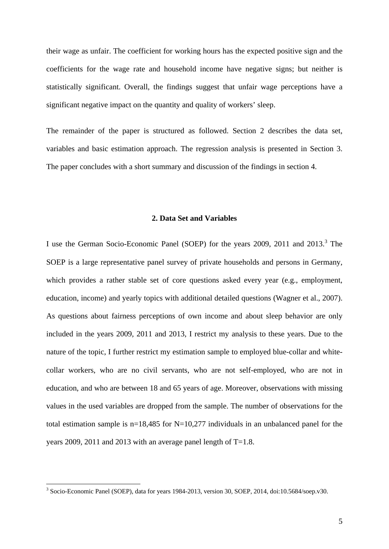their wage as unfair. The coefficient for working hours has the expected positive sign and the coefficients for the wage rate and household income have negative signs; but neither is statistically significant. Overall, the findings suggest that unfair wage perceptions have a significant negative impact on the quantity and quality of workers' sleep.

The remainder of the paper is structured as followed. Section 2 describes the data set, variables and basic estimation approach. The regression analysis is presented in Section 3. The paper concludes with a short summary and discussion of the findings in section 4.

#### **2. Data Set and Variables**

I use the German Socio-Economic Panel (SOEP) for the years 2009, 2011 and 2013.<sup>3</sup> The SOEP is a large representative panel survey of private households and persons in Germany, which provides a rather stable set of core questions asked every year (e.g., employment, education, income) and yearly topics with additional detailed questions (Wagner et al., 2007). As questions about fairness perceptions of own income and about sleep behavior are only included in the years 2009, 2011 and 2013, I restrict my analysis to these years. Due to the nature of the topic, I further restrict my estimation sample to employed blue-collar and whitecollar workers, who are no civil servants, who are not self-employed, who are not in education, and who are between 18 and 65 years of age. Moreover, observations with missing values in the used variables are dropped from the sample. The number of observations for the total estimation sample is  $n=18,485$  for N=10,277 individuals in an unbalanced panel for the years 2009, 2011 and 2013 with an average panel length of T=1.8.

 3 Socio-Economic Panel (SOEP), data for years 1984-2013, version 30, SOEP, 2014, doi:10.5684/soep.v30.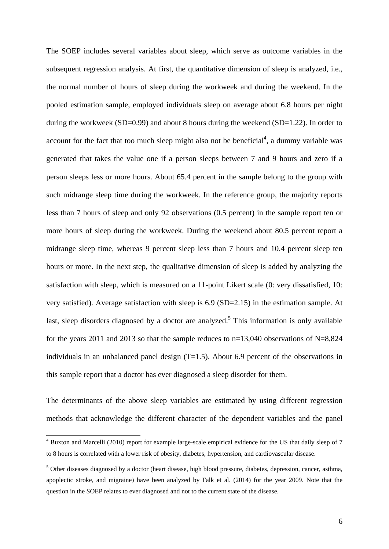The SOEP includes several variables about sleep, which serve as outcome variables in the subsequent regression analysis. At first, the quantitative dimension of sleep is analyzed, i.e., the normal number of hours of sleep during the workweek and during the weekend. In the pooled estimation sample, employed individuals sleep on average about 6.8 hours per night during the workweek (SD=0.99) and about 8 hours during the weekend (SD=1.22). In order to account for the fact that too much sleep might also not be beneficial<sup>4</sup>, a dummy variable was generated that takes the value one if a person sleeps between 7 and 9 hours and zero if a person sleeps less or more hours. About 65.4 percent in the sample belong to the group with such midrange sleep time during the workweek. In the reference group, the majority reports less than 7 hours of sleep and only 92 observations (0.5 percent) in the sample report ten or more hours of sleep during the workweek. During the weekend about 80.5 percent report a midrange sleep time, whereas 9 percent sleep less than 7 hours and 10.4 percent sleep ten hours or more. In the next step, the qualitative dimension of sleep is added by analyzing the satisfaction with sleep, which is measured on a 11-point Likert scale (0: very dissatisfied, 10: very satisfied). Average satisfaction with sleep is 6.9 (SD=2.15) in the estimation sample. At last, sleep disorders diagnosed by a doctor are analyzed.<sup>5</sup> This information is only available for the years 2011 and 2013 so that the sample reduces to  $n=13,040$  observations of N=8,824 individuals in an unbalanced panel design  $(T=1.5)$ . About 6.9 percent of the observations in this sample report that a doctor has ever diagnosed a sleep disorder for them.

The determinants of the above sleep variables are estimated by using different regression methods that acknowledge the different character of the dependent variables and the panel

<sup>&</sup>lt;sup>4</sup> Buxton and Marcelli (2010) report for example large-scale empirical evidence for the US that daily sleep of 7 to 8 hours is correlated with a lower risk of obesity, diabetes, hypertension, and cardiovascular disease.

<sup>&</sup>lt;sup>5</sup> Other diseases diagnosed by a doctor (heart disease, high blood pressure, diabetes, depression, cancer, asthma, apoplectic stroke, and migraine) have been analyzed by Falk et al. (2014) for the year 2009. Note that the question in the SOEP relates to ever diagnosed and not to the current state of the disease.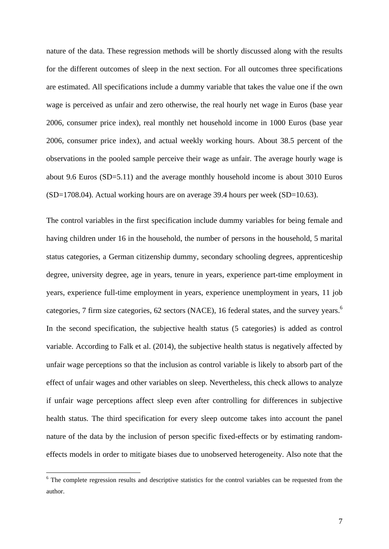nature of the data. These regression methods will be shortly discussed along with the results for the different outcomes of sleep in the next section. For all outcomes three specifications are estimated. All specifications include a dummy variable that takes the value one if the own wage is perceived as unfair and zero otherwise, the real hourly net wage in Euros (base year 2006, consumer price index), real monthly net household income in 1000 Euros (base year 2006, consumer price index), and actual weekly working hours. About 38.5 percent of the observations in the pooled sample perceive their wage as unfair. The average hourly wage is about 9.6 Euros (SD=5.11) and the average monthly household income is about 3010 Euros (SD=1708.04). Actual working hours are on average 39.4 hours per week (SD=10.63).

The control variables in the first specification include dummy variables for being female and having children under 16 in the household, the number of persons in the household, 5 marital status categories, a German citizenship dummy, secondary schooling degrees, apprenticeship degree, university degree, age in years, tenure in years, experience part-time employment in years, experience full-time employment in years, experience unemployment in years, 11 job categories, 7 firm size categories, 62 sectors (NACE), 16 federal states, and the survey years.<sup>6</sup> In the second specification, the subjective health status (5 categories) is added as control variable. According to Falk et al. (2014), the subjective health status is negatively affected by unfair wage perceptions so that the inclusion as control variable is likely to absorb part of the effect of unfair wages and other variables on sleep. Nevertheless, this check allows to analyze if unfair wage perceptions affect sleep even after controlling for differences in subjective health status. The third specification for every sleep outcome takes into account the panel nature of the data by the inclusion of person specific fixed-effects or by estimating randomeffects models in order to mitigate biases due to unobserved heterogeneity. Also note that the

<sup>&</sup>lt;sup>6</sup> The complete regression results and descriptive statistics for the control variables can be requested from the author.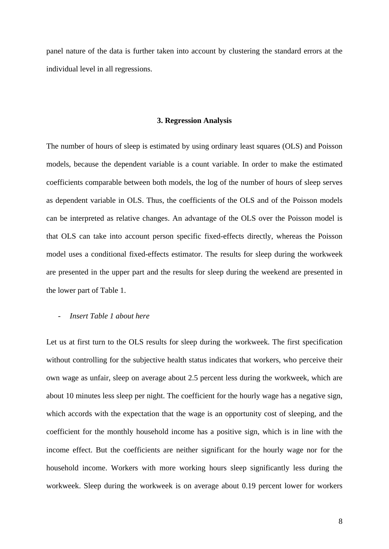panel nature of the data is further taken into account by clustering the standard errors at the individual level in all regressions.

#### **3. Regression Analysis**

The number of hours of sleep is estimated by using ordinary least squares (OLS) and Poisson models, because the dependent variable is a count variable. In order to make the estimated coefficients comparable between both models, the log of the number of hours of sleep serves as dependent variable in OLS. Thus, the coefficients of the OLS and of the Poisson models can be interpreted as relative changes. An advantage of the OLS over the Poisson model is that OLS can take into account person specific fixed-effects directly, whereas the Poisson model uses a conditional fixed-effects estimator. The results for sleep during the workweek are presented in the upper part and the results for sleep during the weekend are presented in the lower part of Table 1.

#### - *Insert Table 1 about here*

Let us at first turn to the OLS results for sleep during the workweek. The first specification without controlling for the subjective health status indicates that workers, who perceive their own wage as unfair, sleep on average about 2.5 percent less during the workweek, which are about 10 minutes less sleep per night. The coefficient for the hourly wage has a negative sign, which accords with the expectation that the wage is an opportunity cost of sleeping, and the coefficient for the monthly household income has a positive sign, which is in line with the income effect. But the coefficients are neither significant for the hourly wage nor for the household income. Workers with more working hours sleep significantly less during the workweek. Sleep during the workweek is on average about 0.19 percent lower for workers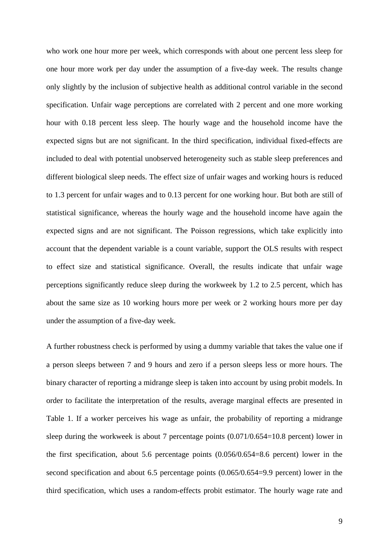who work one hour more per week, which corresponds with about one percent less sleep for one hour more work per day under the assumption of a five-day week. The results change only slightly by the inclusion of subjective health as additional control variable in the second specification. Unfair wage perceptions are correlated with 2 percent and one more working hour with 0.18 percent less sleep. The hourly wage and the household income have the expected signs but are not significant. In the third specification, individual fixed-effects are included to deal with potential unobserved heterogeneity such as stable sleep preferences and different biological sleep needs. The effect size of unfair wages and working hours is reduced to 1.3 percent for unfair wages and to 0.13 percent for one working hour. But both are still of statistical significance, whereas the hourly wage and the household income have again the expected signs and are not significant. The Poisson regressions, which take explicitly into account that the dependent variable is a count variable, support the OLS results with respect to effect size and statistical significance. Overall, the results indicate that unfair wage perceptions significantly reduce sleep during the workweek by 1.2 to 2.5 percent, which has about the same size as 10 working hours more per week or 2 working hours more per day under the assumption of a five-day week.

A further robustness check is performed by using a dummy variable that takes the value one if a person sleeps between 7 and 9 hours and zero if a person sleeps less or more hours. The binary character of reporting a midrange sleep is taken into account by using probit models. In order to facilitate the interpretation of the results, average marginal effects are presented in Table 1. If a worker perceives his wage as unfair, the probability of reporting a midrange sleep during the workweek is about 7 percentage points (0.071/0.654=10.8 percent) lower in the first specification, about 5.6 percentage points (0.056/0.654=8.6 percent) lower in the second specification and about 6.5 percentage points (0.065/0.654=9.9 percent) lower in the third specification, which uses a random-effects probit estimator. The hourly wage rate and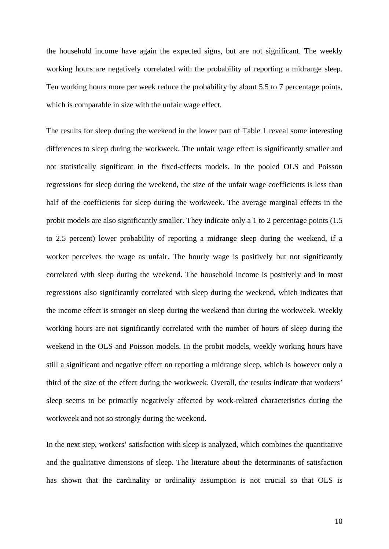the household income have again the expected signs, but are not significant. The weekly working hours are negatively correlated with the probability of reporting a midrange sleep. Ten working hours more per week reduce the probability by about 5.5 to 7 percentage points, which is comparable in size with the unfair wage effect.

The results for sleep during the weekend in the lower part of Table 1 reveal some interesting differences to sleep during the workweek. The unfair wage effect is significantly smaller and not statistically significant in the fixed-effects models. In the pooled OLS and Poisson regressions for sleep during the weekend, the size of the unfair wage coefficients is less than half of the coefficients for sleep during the workweek. The average marginal effects in the probit models are also significantly smaller. They indicate only a 1 to 2 percentage points (1.5 to 2.5 percent) lower probability of reporting a midrange sleep during the weekend, if a worker perceives the wage as unfair. The hourly wage is positively but not significantly correlated with sleep during the weekend. The household income is positively and in most regressions also significantly correlated with sleep during the weekend, which indicates that the income effect is stronger on sleep during the weekend than during the workweek. Weekly working hours are not significantly correlated with the number of hours of sleep during the weekend in the OLS and Poisson models. In the probit models, weekly working hours have still a significant and negative effect on reporting a midrange sleep, which is however only a third of the size of the effect during the workweek. Overall, the results indicate that workers' sleep seems to be primarily negatively affected by work-related characteristics during the workweek and not so strongly during the weekend.

In the next step, workers' satisfaction with sleep is analyzed, which combines the quantitative and the qualitative dimensions of sleep. The literature about the determinants of satisfaction has shown that the cardinality or ordinality assumption is not crucial so that OLS is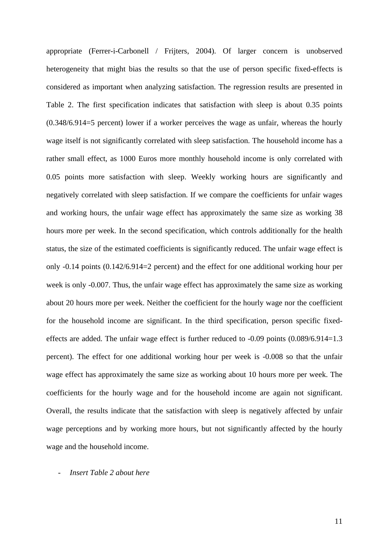appropriate (Ferrer-i-Carbonell / Frijters, 2004). Of larger concern is unobserved heterogeneity that might bias the results so that the use of person specific fixed-effects is considered as important when analyzing satisfaction. The regression results are presented in Table 2. The first specification indicates that satisfaction with sleep is about 0.35 points (0.348/6.914=5 percent) lower if a worker perceives the wage as unfair, whereas the hourly wage itself is not significantly correlated with sleep satisfaction. The household income has a rather small effect, as 1000 Euros more monthly household income is only correlated with 0.05 points more satisfaction with sleep. Weekly working hours are significantly and negatively correlated with sleep satisfaction. If we compare the coefficients for unfair wages and working hours, the unfair wage effect has approximately the same size as working 38 hours more per week. In the second specification, which controls additionally for the health status, the size of the estimated coefficients is significantly reduced. The unfair wage effect is only -0.14 points (0.142/6.914=2 percent) and the effect for one additional working hour per week is only -0.007. Thus, the unfair wage effect has approximately the same size as working about 20 hours more per week. Neither the coefficient for the hourly wage nor the coefficient for the household income are significant. In the third specification, person specific fixedeffects are added. The unfair wage effect is further reduced to -0.09 points (0.089/6.914=1.3 percent). The effect for one additional working hour per week is -0.008 so that the unfair wage effect has approximately the same size as working about 10 hours more per week. The coefficients for the hourly wage and for the household income are again not significant. Overall, the results indicate that the satisfaction with sleep is negatively affected by unfair wage perceptions and by working more hours, but not significantly affected by the hourly wage and the household income.

- *Insert Table 2 about here*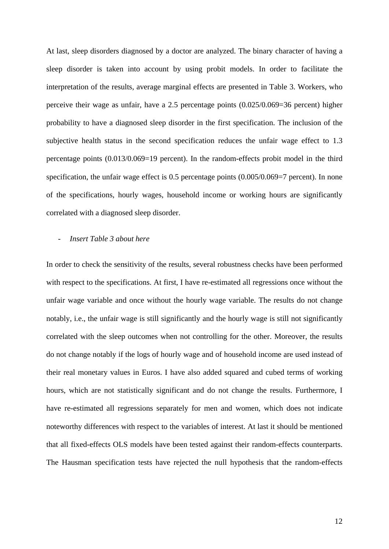At last, sleep disorders diagnosed by a doctor are analyzed. The binary character of having a sleep disorder is taken into account by using probit models. In order to facilitate the interpretation of the results, average marginal effects are presented in Table 3. Workers, who perceive their wage as unfair, have a 2.5 percentage points (0.025/0.069=36 percent) higher probability to have a diagnosed sleep disorder in the first specification. The inclusion of the subjective health status in the second specification reduces the unfair wage effect to 1.3 percentage points (0.013/0.069=19 percent). In the random-effects probit model in the third specification, the unfair wage effect is 0.5 percentage points  $(0.005/0.069=7$  percent). In none of the specifications, hourly wages, household income or working hours are significantly correlated with a diagnosed sleep disorder.

#### - *Insert Table 3 about here*

In order to check the sensitivity of the results, several robustness checks have been performed with respect to the specifications. At first, I have re-estimated all regressions once without the unfair wage variable and once without the hourly wage variable. The results do not change notably, i.e., the unfair wage is still significantly and the hourly wage is still not significantly correlated with the sleep outcomes when not controlling for the other. Moreover, the results do not change notably if the logs of hourly wage and of household income are used instead of their real monetary values in Euros. I have also added squared and cubed terms of working hours, which are not statistically significant and do not change the results. Furthermore, I have re-estimated all regressions separately for men and women, which does not indicate noteworthy differences with respect to the variables of interest. At last it should be mentioned that all fixed-effects OLS models have been tested against their random-effects counterparts. The Hausman specification tests have rejected the null hypothesis that the random-effects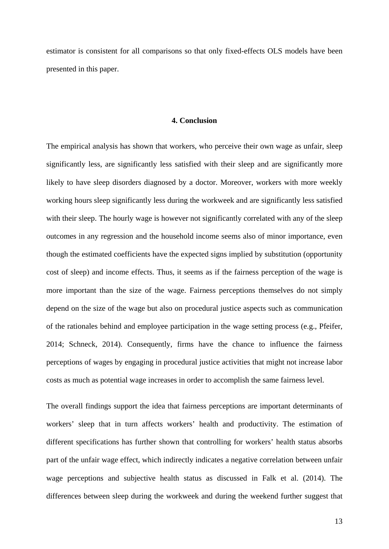estimator is consistent for all comparisons so that only fixed-effects OLS models have been presented in this paper.

#### **4. Conclusion**

The empirical analysis has shown that workers, who perceive their own wage as unfair, sleep significantly less, are significantly less satisfied with their sleep and are significantly more likely to have sleep disorders diagnosed by a doctor. Moreover, workers with more weekly working hours sleep significantly less during the workweek and are significantly less satisfied with their sleep. The hourly wage is however not significantly correlated with any of the sleep outcomes in any regression and the household income seems also of minor importance, even though the estimated coefficients have the expected signs implied by substitution (opportunity cost of sleep) and income effects. Thus, it seems as if the fairness perception of the wage is more important than the size of the wage. Fairness perceptions themselves do not simply depend on the size of the wage but also on procedural justice aspects such as communication of the rationales behind and employee participation in the wage setting process (e.g., Pfeifer, 2014; Schneck, 2014). Consequently, firms have the chance to influence the fairness perceptions of wages by engaging in procedural justice activities that might not increase labor costs as much as potential wage increases in order to accomplish the same fairness level.

The overall findings support the idea that fairness perceptions are important determinants of workers' sleep that in turn affects workers' health and productivity. The estimation of different specifications has further shown that controlling for workers' health status absorbs part of the unfair wage effect, which indirectly indicates a negative correlation between unfair wage perceptions and subjective health status as discussed in Falk et al. (2014). The differences between sleep during the workweek and during the weekend further suggest that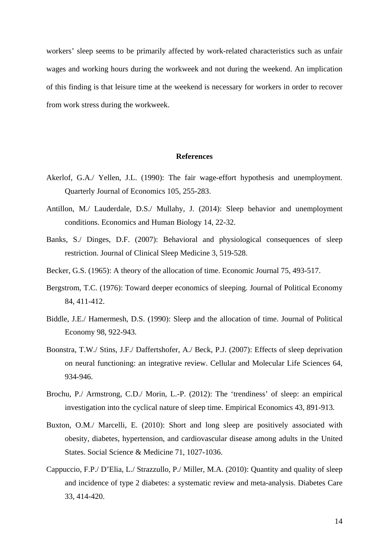workers' sleep seems to be primarily affected by work-related characteristics such as unfair wages and working hours during the workweek and not during the weekend. An implication of this finding is that leisure time at the weekend is necessary for workers in order to recover from work stress during the workweek.

#### **References**

- Akerlof, G.A./ Yellen, J.L. (1990): The fair wage-effort hypothesis and unemployment. Quarterly Journal of Economics 105, 255-283.
- Antillon, M./ Lauderdale, D.S./ Mullahy, J. (2014): Sleep behavior and unemployment conditions. Economics and Human Biology 14, 22-32.
- Banks, S./ Dinges, D.F. (2007): Behavioral and physiological consequences of sleep restriction. Journal of Clinical Sleep Medicine 3, 519-528.
- Becker, G.S. (1965): A theory of the allocation of time. Economic Journal 75, 493-517.
- Bergstrom, T.C. (1976): Toward deeper economics of sleeping. Journal of Political Economy 84, 411-412.
- Biddle, J.E./ Hamermesh, D.S. (1990): Sleep and the allocation of time. Journal of Political Economy 98, 922-943.
- Boonstra, T.W./ Stins, J.F./ Daffertshofer, A./ Beck, P.J. (2007): Effects of sleep deprivation on neural functioning: an integrative review. Cellular and Molecular Life Sciences 64, 934-946.
- Brochu, P./ Armstrong, C.D./ Morin, L.-P. (2012): The 'trendiness' of sleep: an empirical investigation into the cyclical nature of sleep time. Empirical Economics 43, 891-913.
- Buxton, O.M./ Marcelli, E. (2010): Short and long sleep are positively associated with obesity, diabetes, hypertension, and cardiovascular disease among adults in the United States. Social Science & Medicine 71, 1027-1036.
- Cappuccio, F.P./ D'Elia, L./ Strazzullo, P./ Miller, M.A. (2010): Quantity and quality of sleep and incidence of type 2 diabetes: a systematic review and meta-analysis. Diabetes Care 33, 414-420.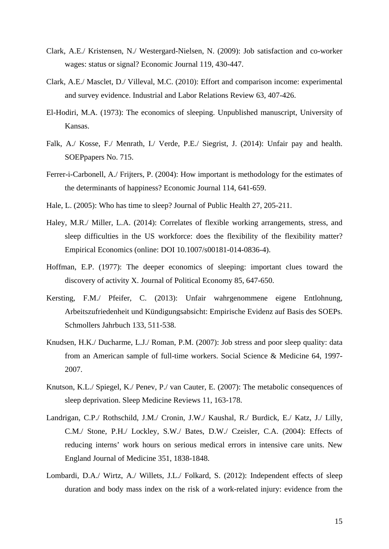- Clark, A.E./ Kristensen, N./ Westergard-Nielsen, N. (2009): Job satisfaction and co-worker wages: status or signal? Economic Journal 119, 430-447.
- Clark, A.E./ Masclet, D./ Villeval, M.C. (2010): Effort and comparison income: experimental and survey evidence. Industrial and Labor Relations Review 63, 407-426.
- El-Hodiri, M.A. (1973): The economics of sleeping. Unpublished manuscript, University of Kansas.
- Falk, A./ Kosse, F./ Menrath, I./ Verde, P.E./ Siegrist, J. (2014): Unfair pay and health. SOEPpapers No. 715.
- Ferrer-i-Carbonell, A./ Frijters, P. (2004): How important is methodology for the estimates of the determinants of happiness? Economic Journal 114, 641-659.
- Hale, L. (2005): Who has time to sleep? Journal of Public Health 27, 205-211.
- Haley, M.R./ Miller, L.A. (2014): Correlates of flexible working arrangements, stress, and sleep difficulties in the US workforce: does the flexibility of the flexibility matter? Empirical Economics (online: DOI 10.1007/s00181-014-0836-4).
- Hoffman, E.P. (1977): The deeper economics of sleeping: important clues toward the discovery of activity X. Journal of Political Economy 85, 647-650.
- Kersting, F.M./ Pfeifer, C. (2013): Unfair wahrgenommene eigene Entlohnung, Arbeitszufriedenheit und Kündigungsabsicht: Empirische Evidenz auf Basis des SOEPs. Schmollers Jahrbuch 133, 511-538.
- Knudsen, H.K./ Ducharme, L.J./ Roman, P.M. (2007): Job stress and poor sleep quality: data from an American sample of full-time workers. Social Science & Medicine 64, 1997- 2007.
- Knutson, K.L./ Spiegel, K./ Penev, P./ van Cauter, E. (2007): The metabolic consequences of sleep deprivation. Sleep Medicine Reviews 11, 163-178.
- Landrigan, C.P./ Rothschild, J.M./ Cronin, J.W./ Kaushal, R./ Burdick, E./ Katz, J./ Lilly, C.M./ Stone, P.H./ Lockley, S.W./ Bates, D.W./ Czeisler, C.A. (2004): Effects of reducing interns' work hours on serious medical errors in intensive care units. New England Journal of Medicine 351, 1838-1848.
- Lombardi, D.A./ Wirtz, A./ Willets, J.L./ Folkard, S. (2012): Independent effects of sleep duration and body mass index on the risk of a work-related injury: evidence from the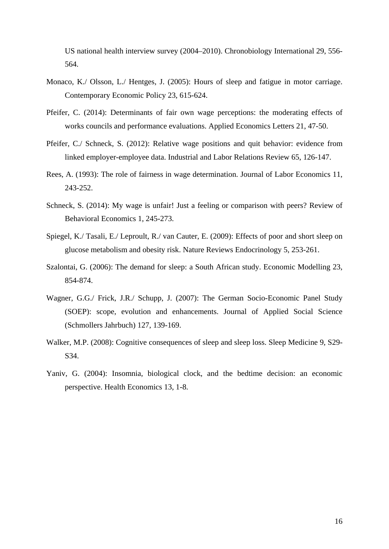US national health interview survey (2004–2010). Chronobiology International 29, 556- 564.

- Monaco, K./ Olsson, L./ Hentges, J. (2005): Hours of sleep and fatigue in motor carriage. Contemporary Economic Policy 23, 615-624.
- Pfeifer, C. (2014): Determinants of fair own wage perceptions: the moderating effects of works councils and performance evaluations. Applied Economics Letters 21, 47-50.
- Pfeifer, C./ Schneck, S. (2012): Relative wage positions and quit behavior: evidence from linked employer-employee data. Industrial and Labor Relations Review 65, 126-147.
- Rees, A. (1993): The role of fairness in wage determination. Journal of Labor Economics 11, 243-252.
- Schneck, S. (2014): My wage is unfair! Just a feeling or comparison with peers? Review of Behavioral Economics 1, 245-273.
- Spiegel, K./ Tasali, E./ Leproult, R./ van Cauter, E. (2009): Effects of poor and short sleep on glucose metabolism and obesity risk. Nature Reviews Endocrinology 5, 253-261.
- Szalontai, G. (2006): The demand for sleep: a South African study. Economic Modelling 23, 854-874.
- Wagner, G.G./ Frick, J.R./ Schupp, J. (2007): The German Socio-Economic Panel Study (SOEP): scope, evolution and enhancements. Journal of Applied Social Science (Schmollers Jahrbuch) 127, 139-169.
- Walker, M.P. (2008): Cognitive consequences of sleep and sleep loss. Sleep Medicine 9, S29- S34.
- Yaniv, G. (2004): Insomnia, biological clock, and the bedtime decision: an economic perspective. Health Economics 13, 1-8.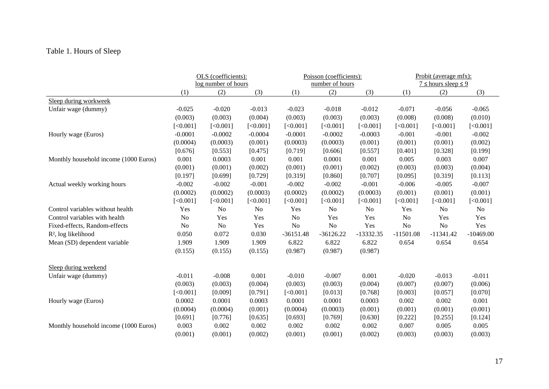# Table 1. Hours of Sleep

|                                       | OLS (coefficients): |                |                | Poisson (coefficients):<br>number of hours |             |             | Probit (average mfx):<br>$7 \le$ hours sleep $\le$ 9 |                |             |
|---------------------------------------|---------------------|----------------|----------------|--------------------------------------------|-------------|-------------|------------------------------------------------------|----------------|-------------|
|                                       | log number of hours |                |                |                                            |             |             |                                                      |                |             |
|                                       | (1)                 | (2)            | (3)            | (1)                                        | (2)         | (3)         | (1)                                                  | (2)            | (3)         |
| Sleep during workweek                 |                     |                |                |                                            |             |             |                                                      |                |             |
| Unfair wage (dummy)                   | $-0.025$            | $-0.020$       | $-0.013$       | $-0.023$                                   | $-0.018$    | $-0.012$    | $-0.071$                                             | $-0.056$       | $-0.065$    |
|                                       | (0.003)             | (0.003)        | (0.004)        | (0.003)                                    | (0.003)     | (0.003)     | (0.008)                                              | (0.008)        | (0.010)     |
|                                       | [<0.001]            | [<0.001]       | [<0.001]       | [<0.001]                                   | [<0.001]    | [<0.001]    | [<0.001]                                             | [<0.001]       | [<0.001]    |
| Hourly wage (Euros)                   | $-0.0001$           | $-0.0002$      | $-0.0004$      | $-0.0001$                                  | $-0.0002$   | $-0.0003$   | $-0.001$                                             | $-0.001$       | $-0.002$    |
|                                       | (0.0004)            | (0.0003)       | (0.001)        | (0.0003)                                   | (0.0003)    | (0.001)     | (0.001)                                              | (0.001)        | (0.002)     |
|                                       | [0.676]             | [0.553]        | [0.475]        | [0.719]                                    | [0.606]     | [0.557]     | [0.401]                                              | [0.328]        | [0.199]     |
| Monthly household income (1000 Euros) | 0.001               | 0.0003         | 0.001          | 0.001                                      | 0.0001      | 0.001       | 0.005                                                | 0.003          | 0.007       |
|                                       | (0.001)             | (0.001)        | (0.002)        | (0.001)                                    | (0.001)     | (0.002)     | (0.003)                                              | (0.003)        | (0.004)     |
|                                       | [0.197]             | [0.699]        | [0.729]        | [0.319]                                    | [0.860]     | [0.707]     | [0.095]                                              | [0.319]        | [0.113]     |
| Actual weekly working hours           | $-0.002$            | $-0.002$       | $-0.001$       | $-0.002$                                   | $-0.002$    | $-0.001$    | $-0.006$                                             | $-0.005$       | $-0.007$    |
|                                       | (0.0002)            | (0.0002)       | (0.0003)       | (0.0002)                                   | (0.0002)    | (0.0003)    | (0.001)                                              | (0.001)        | (0.001)     |
|                                       | [<0.001]            | [<0.001]       | [<0.001]       | [<0.001]                                   | [<0.001]    | [<0.001]    | [<0.001]                                             | [<0.001]       | [<0.001]    |
| Control variables without health      | Yes                 | No             | N <sub>o</sub> | Yes                                        | No          | No          | Yes                                                  | N <sub>o</sub> | No          |
| Control variables with health         | No                  | Yes            | Yes            | N <sub>o</sub>                             | Yes         | Yes         | No                                                   | Yes            | Yes         |
| Fixed-effects, Random-effects         | N <sub>0</sub>      | N <sub>0</sub> | Yes            | No                                         | No          | Yes         | No                                                   | No             | Yes         |
| R <sup>2</sup> , log likelihood       | 0.050               | 0.072          | 0.030          | $-36151.48$                                | $-36126.22$ | $-13332.35$ | $-11501.08$                                          | $-11341.42$    | $-10469.00$ |
| Mean (SD) dependent variable          | 1.909               | 1.909          | 1.909          | 6.822                                      | 6.822       | 6.822       | 0.654                                                | 0.654          | 0.654       |
|                                       | (0.155)             | (0.155)        | (0.155)        | (0.987)                                    | (0.987)     | (0.987)     |                                                      |                |             |
| Sleep during weekend                  |                     |                |                |                                            |             |             |                                                      |                |             |
| Unfair wage (dummy)                   | $-0.011$            | $-0.008$       | 0.001          | $-0.010$                                   | $-0.007$    | 0.001       | $-0.020$                                             | $-0.013$       | $-0.011$    |
|                                       | (0.003)             | (0.003)        | (0.004)        | (0.003)                                    | (0.003)     | (0.004)     | (0.007)                                              | (0.007)        | (0.006)     |
|                                       | [<0.001]            | [0.009]        | [0.791]        | [<0.001]                                   | [0.013]     | [0.768]     | [0.003]                                              | [0.057]        | [0.070]     |
| Hourly wage (Euros)                   | 0.0002              | 0.0001         | 0.0003         | 0.0001                                     | 0.0001      | 0.0003      | 0.002                                                | 0.002          | 0.001       |
|                                       | (0.0004)            | (0.0004)       | (0.001)        | (0.0004)                                   | (0.0003)    | (0.001)     | (0.001)                                              | (0.001)        | (0.001)     |
|                                       | [0.691]             | [0.776]        | [0.635]        | [0.693]                                    | [0.769]     | [0.630]     | [0.222]                                              | [0.255]        | [0.124]     |
| Monthly household income (1000 Euros) | 0.003               | 0.002          | 0.002          | 0.002                                      | 0.002       | 0.002       | 0.007                                                | 0.005          | 0.005       |
|                                       | (0.001)             | (0.001)        | (0.002)        | (0.001)                                    | (0.001)     | (0.002)     | (0.003)                                              | (0.003)        | (0.003)     |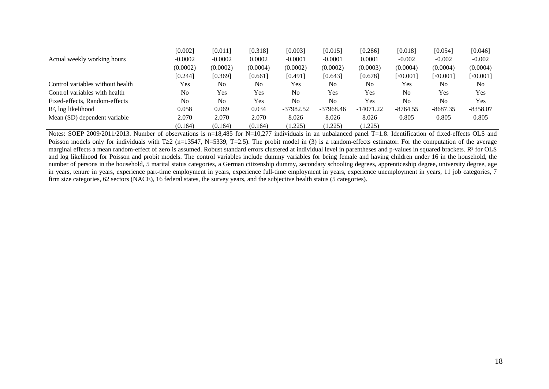|                                  | [0.002]   | [0.011]        | [0.318]  | [0.003]        | [0.015]        | [0.286]     | [0.018]        | [0.054]        | [0.046]    |
|----------------------------------|-----------|----------------|----------|----------------|----------------|-------------|----------------|----------------|------------|
| Actual weekly working hours      | $-0.0002$ | $-0.0002$      | 0.0002   | $-0.0001$      | $-0.0001$      | 0.0001      | $-0.002$       | $-0.002$       | $-0.002$   |
|                                  | (0.0002)  | (0.0002)       | (0.0004) | (0.0002)       | (0.0002)       | (0.0003)    | (0.0004)       | (0.0004)       | (0.0004)   |
|                                  | [0.244]   | [0.369]        | [0.661]  | [0.491]        | [0.643]        | [0.678]     | [<0.001]       | [<0.001]       | [<0.001]   |
| Control variables without health | Yes       | N <sub>0</sub> | No       | Yes            | N <sub>0</sub> | No          | <b>Yes</b>     | N <sub>0</sub> | No         |
| Control variables with health    | No        | Yes            | Yes      | N <sub>0</sub> | Yes            | Yes         | N <sub>0</sub> | Yes            | Yes        |
| Fixed-effects, Random-effects    | No        | No             | Yes      | N <sub>0</sub> | N <sub>o</sub> | Yes         | N <sub>0</sub> | N <sub>0</sub> | Yes        |
| $R^2$ , log likelihood           | 0.058     | 0.069          | 0.034    | -37982.52      | $-37968.46$    | $-14071.22$ | $-8764.55$     | $-8687.35$     | $-8358.07$ |
| Mean (SD) dependent variable     | 2.070     | 2.070          | 2.070    | 8.026          | 8.026          | 8.026       | 0.805          | 0.805          | 0.805      |
|                                  | (0.164)   | (0.164)        | (0.164)  | (1.225)        | (1.225)        | (1.225)     |                |                |            |

Notes: SOEP 2009/2011/2013. Number of observations is n=18,485 for N=10,277 individuals in an unbalanced panel T=1.8. Identification of fixed-effects OLS and Poisson models only for individuals with T $\geq 2$  (n=13547, N=5339, T=2.5). The probit model in (3) is a random-effects estimator. For the computation of the average marginal effects a mean random-effect of zero is assumed. Robust standard errors clustered at individual level in parentheses and p-values in squared brackets. R² for OLS and log likelihood for Poisson and probit models. The control variables include dummy variables for being female and having children under 16 in the household, the number of persons in the household, 5 marital status categories, a German citizenship dummy, secondary schooling degrees, apprenticeship degree, university degree, age in years, tenure in years, experience part-time employment in years, experience full-time employment in years, experience unemployment in years, 11 job categories, 7 firm size categories, 62 sectors (NACE), 16 federal states, the survey years, and the subjective health status (5 categories).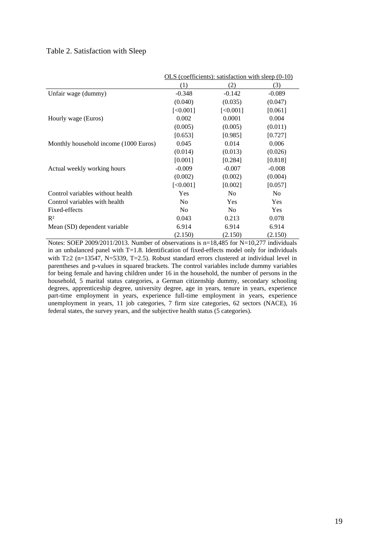#### Table 2. Satisfaction with Sleep

|                                       | OLS (coefficients): satisfaction with sleep $(0-10)$ |                |                |  |  |
|---------------------------------------|------------------------------------------------------|----------------|----------------|--|--|
|                                       | (1)                                                  | (2)            | (3)            |  |  |
| Unfair wage (dummy)                   | $-0.348$                                             | $-0.142$       | $-0.089$       |  |  |
|                                       | (0.040)                                              | (0.035)        | (0.047)        |  |  |
|                                       | [<0.001]                                             | [<0.001]       | [0.061]        |  |  |
| Hourly wage (Euros)                   | 0.002                                                | 0.0001         | 0.004          |  |  |
|                                       | (0.005)                                              | (0.005)        | (0.011)        |  |  |
|                                       | [0.653]                                              | [0.985]        | [0.727]        |  |  |
| Monthly household income (1000 Euros) | 0.045                                                | 0.014          | 0.006          |  |  |
|                                       | (0.014)                                              | (0.013)        | (0.026)        |  |  |
|                                       | [0.001]                                              | [0.284]        | [0.818]        |  |  |
| Actual weekly working hours           | $-0.009$                                             | $-0.007$       | $-0.008$       |  |  |
|                                       | (0.002)                                              | (0.002)        | (0.004)        |  |  |
|                                       | [<,0.001]                                            | [0.002]        | [0.057]        |  |  |
| Control variables without health      | Yes                                                  | N <sub>0</sub> | N <sub>0</sub> |  |  |
| Control variables with health         | N <sub>0</sub>                                       | <b>Yes</b>     | Yes            |  |  |
| Fixed-effects                         | N <sub>0</sub>                                       | N <sub>o</sub> | Yes            |  |  |
| $R^2$                                 | 0.043                                                | 0.213          | 0.078          |  |  |
| Mean (SD) dependent variable          | 6.914                                                | 6.914          | 6.914          |  |  |
|                                       | (2.150)                                              | (2.150)        | (2.150)        |  |  |

Notes: SOEP 2009/2011/2013. Number of observations is n=18,485 for N=10,277 individuals in an unbalanced panel with  $T=1.8$ . Identification of fixed-effects model only for individuals with  $T\geq 2$  (n=13547, N=5339, T=2.5). Robust standard errors clustered at individual level in parentheses and p-values in squared brackets. The control variables include dummy variables for being female and having children under 16 in the household, the number of persons in the household, 5 marital status categories, a German citizenship dummy, secondary schooling degrees, apprenticeship degree, university degree, age in years, tenure in years, experience part-time employment in years, experience full-time employment in years, experience unemployment in years, 11 job categories, 7 firm size categories, 62 sectors (NACE), 16 federal states, the survey years, and the subjective health status (5 categories).